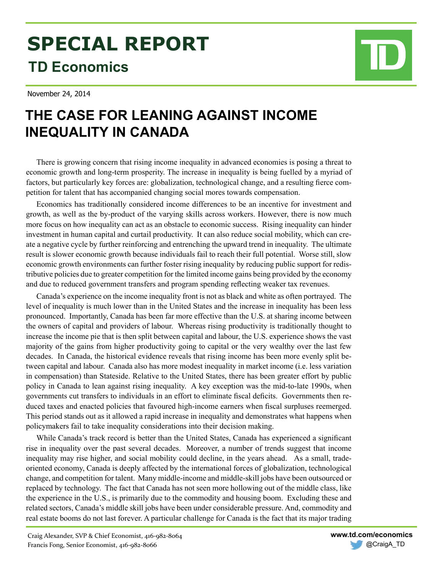# **SPECIAL REPORT TD Economics**

November 24, 2014



# **THE CASE FOR LEANING AGAINST INCOME INEQUALITY IN CANADA**

There is growing concern that rising income inequality in advanced economies is posing a threat to economic growth and long-term prosperity. The increase in inequality is being fuelled by a myriad of factors, but particularly key forces are: globalization, technological change, and a resulting fierce competition for talent that has accompanied changing social mores towards compensation.

Economics has traditionally considered income differences to be an incentive for investment and growth, as well as the by-product of the varying skills across workers. However, there is now much more focus on how inequality can act as an obstacle to economic success. Rising inequality can hinder investment in human capital and curtail productivity. It can also reduce social mobility, which can create a negative cycle by further reinforcing and entrenching the upward trend in inequality. The ultimate result is slower economic growth because individuals fail to reach their full potential. Worse still, slow economic growth environments can further foster rising inequality by reducing public support for redistributive policies due to greater competition for the limited income gains being provided by the economy and due to reduced government transfers and program spending reflecting weaker tax revenues.

Canada's experience on the income inequality front is not as black and white as often portrayed. The level of inequality is much lower than in the United States and the increase in inequality has been less pronounced. Importantly, Canada has been far more effective than the U.S. at sharing income between the owners of capital and providers of labour. Whereas rising productivity is traditionally thought to increase the income pie that is then split between capital and labour, the U.S. experience shows the vast majority of the gains from higher productivity going to capital or the very wealthy over the last few decades. In Canada, the historical evidence reveals that rising income has been more evenly split between capital and labour. Canada also has more modest inequality in market income (i.e. less variation in compensation) than Stateside. Relative to the United States, there has been greater effort by public policy in Canada to lean against rising inequality. A key exception was the mid-to-late 1990s, when governments cut transfers to individuals in an effort to eliminate fiscal deficits. Governments then reduced taxes and enacted policies that favoured high-income earners when fiscal surpluses reemerged. This period stands out as it allowed a rapid increase in inequality and demonstrates what happens when policymakers fail to take inequality considerations into their decision making.

While Canada's track record is better than the United States, Canada has experienced a significant rise in inequality over the past several decades. Moreover, a number of trends suggest that income inequality may rise higher, and social mobility could decline, in the years ahead. As a small, tradeoriented economy, Canada is deeply affected by the international forces of globalization, technological change, and competition for talent. Many middle-income and middle-skill jobs have been outsourced or replaced by technology. The fact that Canada has not seen more hollowing out of the middle class, like the experience in the U.S., is primarily due to the commodity and housing boom. Excluding these and related sectors, Canada's middle skill jobs have been under considerable pressure. And, commodity and real estate booms do not last forever. A particular challenge for Canada is the fact that its major trading

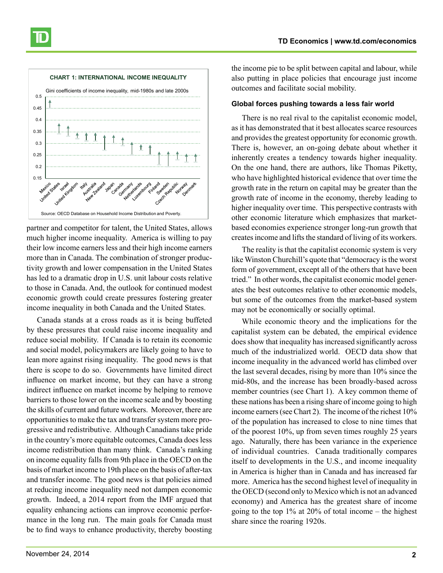

partner and competitor for talent, the United States, allows much higher income inequality. America is willing to pay their low income earners less and their high income earners more than in Canada. The combination of stronger productivity growth and lower compensation in the United States has led to a dramatic drop in U.S. unit labour costs relative to those in Canada. And, the outlook for continued modest economic growth could create pressures fostering greater income inequality in both Canada and the United States.

Canada stands at a cross roads as it is being buffeted by these pressures that could raise income inequality and reduce social mobility. If Canada is to retain its economic and social model, policymakers are likely going to have to lean more against rising inequality. The good news is that there is scope to do so. Governments have limited direct influence on market income, but they can have a strong indirect influence on market income by helping to remove barriers to those lower on the income scale and by boosting the skills of current and future workers. Moreover, there are opportunities to make the tax and transfer system more progressive and redistributive. Although Canadians take pride in the country's more equitable outcomes, Canada does less income redistribution than many think. Canada's ranking on income equality falls from 9th place in the OECD on the basis of market income to 19th place on the basis of after-tax and transfer income. The good news is that policies aimed at reducing income inequality need not dampen economic growth. Indeed, a 2014 report from the IMF argued that equality enhancing actions can improve economic performance in the long run. The main goals for Canada must be to find ways to enhance productivity, thereby boosting the income pie to be split between capital and labour, while also putting in place policies that encourage just income outcomes and facilitate social mobility.

#### **Global forces pushing towards a less fair world**

There is no real rival to the capitalist economic model, as it has demonstrated that it best allocates scarce resources and provides the greatest opportunity for economic growth. There is, however, an on-going debate about whether it inherently creates a tendency towards higher inequality. On the one hand, there are authors, like Thomas Piketty, who have highlighted historical evidence that over time the growth rate in the return on capital may be greater than the growth rate of income in the economy, thereby leading to higher inequality over time. This perspective contrasts with other economic literature which emphasizes that marketbased economies experience stronger long-run growth that creates income and lifts the standard of living of its workers.

The reality is that the capitalist economic system is very like Winston Churchill's quote that "democracy is the worst form of government, except all of the others that have been tried." In other words, the capitalist economic model generates the best outcomes relative to other economic models, but some of the outcomes from the market-based system may not be economically or socially optimal.

While economic theory and the implications for the capitalist system can be debated, the empirical evidence does show that inequality has increased significantly across much of the industrialized world. OECD data show that income inequality in the advanced world has climbed over the last several decades, rising by more than 10% since the mid-80s, and the increase has been broadly-based across member countries (see Chart 1). A key common theme of these nations has been a rising share of income going to high income earners (see Chart 2). The income of the richest 10% of the population has increased to close to nine times that of the poorest 10%, up from seven times roughly 25 years ago. Naturally, there has been variance in the experience of individual countries. Canada traditionally compares itself to developments in the U.S., and income inequality in America is higher than in Canada and has increased far more. America has the second highest level of inequality in the OECD (second only to Mexico which is not an advanced economy) and America has the greatest share of income going to the top  $1\%$  at  $20\%$  of total income – the highest share since the roaring 1920s.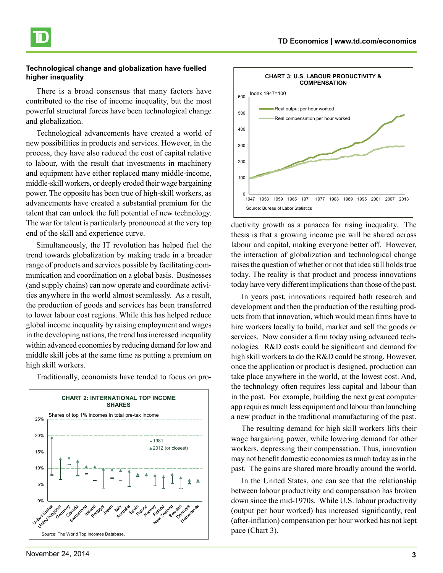## **Technological change and globalization have fuelled higher inequality**

There is a broad consensus that many factors have contributed to the rise of income inequality, but the most powerful structural forces have been technological change and globalization.

Technological advancements have created a world of new possibilities in products and services. However, in the process, they have also reduced the cost of capital relative to labour, with the result that investments in machinery and equipment have either replaced many middle-income, middle-skill workers, or deeply eroded their wage bargaining power. The opposite has been true of high-skill workers, as advancements have created a substantial premium for the talent that can unlock the full potential of new technology. The war for talent is particularly pronounced at the very top end of the skill and experience curve.

Simultaneously, the IT revolution has helped fuel the trend towards globalization by making trade in a broader range of products and services possible by facilitating communication and coordination on a global basis. Businesses (and supply chains) can now operate and coordinate activities anywhere in the world almost seamlessly. As a result, the production of goods and services has been transferred to lower labour cost regions. While this has helped reduce global income inequality by raising employment and wages in the developing nations, the trend has increased inequality within advanced economies by reducing demand for low and middle skill jobs at the same time as putting a premium on high skill workers.

Traditionally, economists have tended to focus on pro-





ductivity growth as a panacea for rising inequality. The thesis is that a growing income pie will be shared across labour and capital, making everyone better off. However, the interaction of globalization and technological change raises the question of whether or not that idea still holds true today. The reality is that product and process innovations today have very different implications than those of the past.

In years past, innovations required both research and development and then the production of the resulting products from that innovation, which would mean firms have to hire workers locally to build, market and sell the goods or services. Now consider a firm today using advanced technologies. R&D costs could be significant and demand for high skill workers to do the R&D could be strong. However, once the application or product is designed, production can take place anywhere in the world, at the lowest cost. And, the technology often requires less capital and labour than in the past. For example, building the next great computer app requires much less equipment and labour than launching a new product in the traditional manufacturing of the past.

The resulting demand for high skill workers lifts their wage bargaining power, while lowering demand for other workers, depressing their compensation. Thus, innovation may not benefit domestic economies as much today as in the past. The gains are shared more broadly around the world.

In the United States, one can see that the relationship between labour productivity and compensation has broken down since the mid-1970s. While U.S. labour productivity (output per hour worked) has increased significantly, real (after-inflation) compensation per hour worked has not kept pace (Chart 3).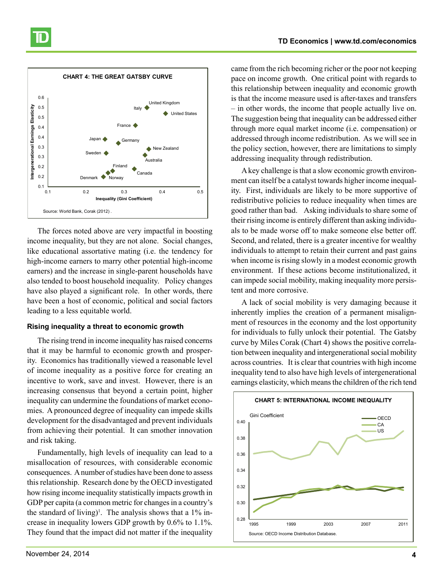



The forces noted above are very impactful in boosting income inequality, but they are not alone. Social changes, like educational assortative mating (i.e. the tendency for high-income earners to marry other potential high-income earners) and the increase in single-parent households have also tended to boost household inequality. Policy changes have also played a significant role. In other words, there have been a host of economic, political and social factors leading to a less equitable world.

#### **Rising inequality a threat to economic growth**

The rising trend in income inequality has raised concerns that it may be harmful to economic growth and prosperity. Economics has traditionally viewed a reasonable level of income inequality as a positive force for creating an incentive to work, save and invest. However, there is an increasing consensus that beyond a certain point, higher inequality can undermine the foundations of market economies. A pronounced degree of inequality can impede skills development for the disadvantaged and prevent individuals from achieving their potential. It can smother innovation and risk taking.

Fundamentally, high levels of inequality can lead to a misallocation of resources, with considerable economic consequences. A number of studies have been done to assess this relationship. Research done by the OECD investigated how rising income inequality statistically impacts growth in GDP per capita (a common metric for changes in a country's the standard of living)<sup>1</sup>. The analysis shows that a  $1\%$  increase in inequality lowers GDP growth by 0.6% to 1.1%. They found that the impact did not matter if the inequality came from the rich becoming richer or the poor not keeping pace on income growth. One critical point with regards to this relationship between inequality and economic growth is that the income measure used is after-taxes and transfers – in other words, the income that people actually live on. The suggestion being that inequality can be addressed either through more equal market income (i.e. compensation) or addressed through income redistribution. As we will see in the policy section, however, there are limitations to simply addressing inequality through redistribution.

A key challenge is that a slow economic growth environment can itself be a catalyst towards higher income inequality. First, individuals are likely to be more supportive of redistributive policies to reduce inequality when times are good rather than bad. Asking individuals to share some of their rising income is entirely different than asking individuals to be made worse off to make someone else better off. Second, and related, there is a greater incentive for wealthy individuals to attempt to retain their current and past gains when income is rising slowly in a modest economic growth environment. If these actions become institutionalized, it can impede social mobility, making inequality more persistent and more corrosive.

A lack of social mobility is very damaging because it inherently implies the creation of a permanent misalignment of resources in the economy and the lost opportunity for individuals to fully unlock their potential. The Gatsby curve by Miles Corak (Chart 4) shows the positive correlation between inequality and intergenerational social mobility across countries. It is clear that countries with high income inequality tend to also have high levels of intergenerational earnings elasticity, which means the children of the rich tend

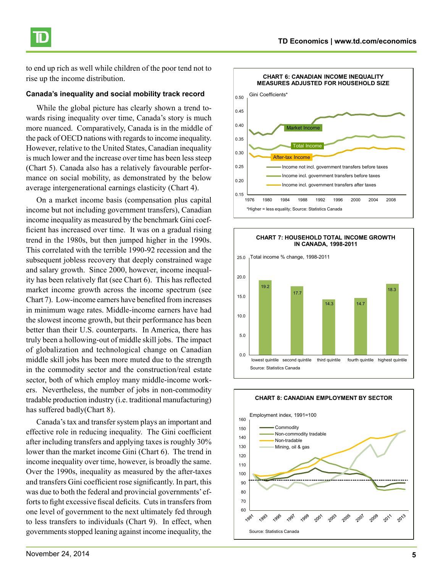

to end up rich as well while children of the poor tend not to rise up the income distribution.

#### **Canada's inequality and social mobility track record**

While the global picture has clearly shown a trend towards rising inequality over time, Canada's story is much more nuanced. Comparatively, Canada is in the middle of the pack of OECD nations with regards to income inequality. However, relative to the United States, Canadian inequality is much lower and the increase over time has been less steep (Chart 5). Canada also has a relatively favourable performance on social mobility, as demonstrated by the below average intergenerational earnings elasticity (Chart 4).

On a market income basis (compensation plus capital income but not including government transfers), Canadian income inequality as measured by the benchmark Gini coefficient has increased over time. It was on a gradual rising trend in the 1980s, but then jumped higher in the 1990s. This correlated with the terrible 1990-92 recession and the subsequent jobless recovery that deeply constrained wage and salary growth. Since 2000, however, income inequality has been relatively flat (see Chart 6). This has reflected market income growth across the income spectrum (see Chart 7). Low-income earners have benefited from increases in minimum wage rates. Middle-income earners have had the slowest income growth, but their performance has been better than their U.S. counterparts. In America, there has truly been a hollowing-out of middle skill jobs. The impact of globalization and technological change on Canadian middle skill jobs has been more muted due to the strength in the commodity sector and the construction/real estate sector, both of which employ many middle-income workers. Nevertheless, the number of jobs in non-commodity tradable production industry (i.e. traditional manufacturing) has suffered badly(Chart 8).

Canada's tax and transfer system plays an important and effective role in reducing inequality. The Gini coefficient after including transfers and applying taxes is roughly 30% lower than the market income Gini (Chart 6). The trend in income inequality over time, however, is broadly the same. Over the 1990s, inequality as measured by the after-taxes and transfers Gini coefficient rose significantly. In part, this was due to both the federal and provincial governments' efforts to fight excessive fiscal deficits. Cuts in transfers from one level of government to the next ultimately fed through to less transfers to individuals (Chart 9). In effect, when governments stopped leaning against income inequality, the





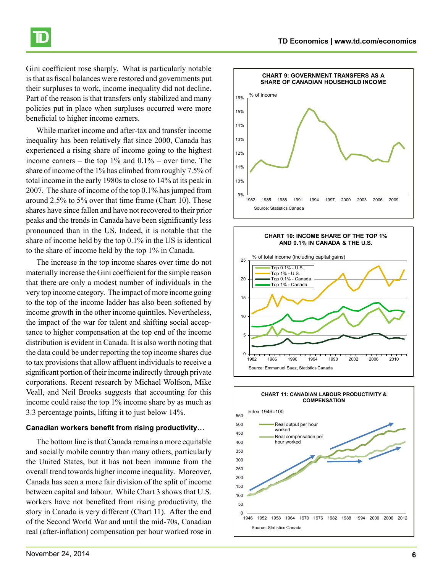

Gini coefficient rose sharply. What is particularly notable is that as fiscal balances were restored and governments put their surpluses to work, income inequality did not decline. Part of the reason is that transfers only stabilized and many policies put in place when surpluses occurred were more beneficial to higher income earners.

While market income and after-tax and transfer income inequality has been relatively flat since 2000, Canada has experienced a rising share of income going to the highest income earners – the top  $1\%$  and  $0.1\%$  – over time. The share of income of the 1% has climbed from roughly 7.5% of total income in the early 1980s to close to 14% at its peak in 2007. The share of income of the top 0.1% has jumped from around 2.5% to 5% over that time frame (Chart 10). These shares have since fallen and have not recovered to their prior peaks and the trends in Canada have been significantly less pronounced than in the US. Indeed, it is notable that the share of income held by the top 0.1% in the US is identical to the share of income held by the top 1% in Canada.

The increase in the top income shares over time do not materially increase the Gini coefficient for the simple reason that there are only a modest number of individuals in the very top income category. The impact of more income going to the top of the income ladder has also been softened by income growth in the other income quintiles. Nevertheless, the impact of the war for talent and shifting social acceptance to higher compensation at the top end of the income distribution is evident in Canada. It is also worth noting that the data could be under reporting the top income shares due to tax provisions that allow affluent individuals to receive a significant portion of their income indirectly through private corporations. Recent research by Michael Wolfson, Mike Veall, and Neil Brooks suggests that accounting for this income could raise the top 1% income share by as much as 3.3 percentage points, lifting it to just below 14%.

#### **Canadian workers benefit from rising productivity…**

The bottom line is that Canada remains a more equitable and socially mobile country than many others, particularly the United States, but it has not been immune from the overall trend towards higher income inequality. Moreover, Canada has seen a more fair division of the split of income between capital and labour. While Chart 3 shows that U.S. workers have not benefited from rising productivity, the story in Canada is very different (Chart 11). After the end of the Second World War and until the mid-70s, Canadian real (after-inflation) compensation per hour worked rose in





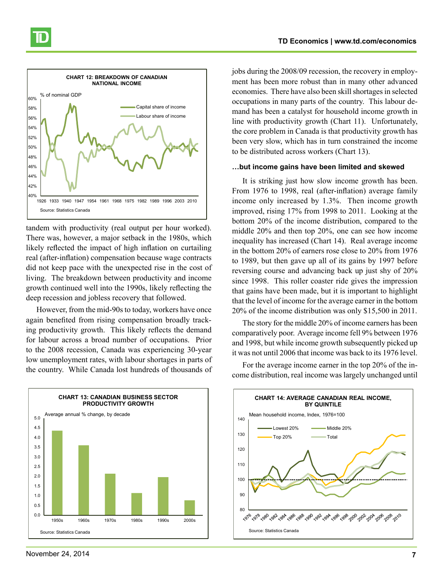



tandem with productivity (real output per hour worked). There was, however, a major setback in the 1980s, which likely reflected the impact of high inflation on curtailing real (after-inflation) compensation because wage contracts did not keep pace with the unexpected rise in the cost of living. The breakdown between productivity and income growth continued well into the 1990s, likely reflecting the deep recession and jobless recovery that followed.

However, from the mid-90s to today, workers have once again benefited from rising compensation broadly tracking productivity growth. This likely reflects the demand for labour across a broad number of occupations. Prior to the 2008 recession, Canada was experiencing 30-year low unemployment rates, with labour shortages in parts of the country. While Canada lost hundreds of thousands of jobs during the 2008/09 recession, the recovery in employment has been more robust than in many other advanced economies. There have also been skill shortages in selected occupations in many parts of the country. This labour demand has been a catalyst for household income growth in line with productivity growth (Chart 11). Unfortunately, the core problem in Canada is that productivity growth has been very slow, which has in turn constrained the income to be distributed across workers (Chart 13).

#### **…but income gains have been limited and skewed**

It is striking just how slow income growth has been. From 1976 to 1998, real (after-inflation) average family income only increased by 1.3%. Then income growth improved, rising 17% from 1998 to 2011. Looking at the bottom 20% of the income distribution, compared to the middle 20% and then top 20%, one can see how income inequality has increased (Chart 14). Real average income in the bottom 20% of earners rose close to 20% from 1976 to 1989, but then gave up all of its gains by 1997 before reversing course and advancing back up just shy of 20% since 1998. This roller coaster ride gives the impression that gains have been made, but it is important to highlight that the level of income for the average earner in the bottom 20% of the income distribution was only \$15,500 in 2011.

The story for the middle 20% of income earners has been comparatively poor. Average income fell 9% between 1976 and 1998, but while income growth subsequently picked up it was not until 2006 that income was back to its 1976 level.

For the average income earner in the top 20% of the income distribution, real income was largely unchanged until





November 24, 2014 **7**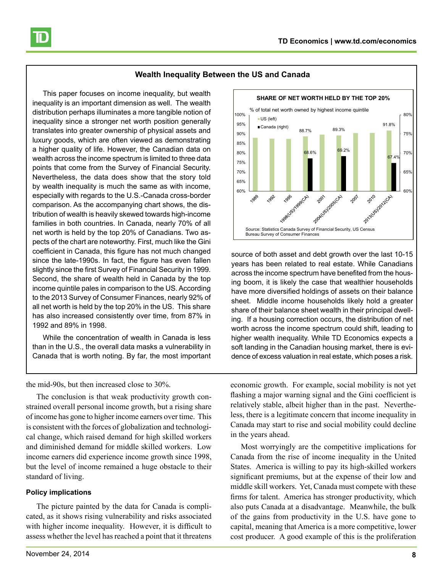

This paper focuses on income inequality, but wealth inequality is an important dimension as well. The wealth distribution perhaps illuminates a more tangible notion of inequality since a stronger net worth position generally translates into greater ownership of physical assets and luxury goods, which are often viewed as demonstrating a higher quality of life. However, the Canadian data on wealth across the income spectrum is limited to three data points that come from the Survey of Financial Security. Nevertheless, the data does show that the story told by wealth inequality is much the same as with income, especially with regards to the U.S.-Canada cross-border comparison. As the accompanying chart shows, the distribution of wealth is heavily skewed towards high-income families in both countries. In Canada, nearly 70% of all net worth is held by the top 20% of Canadians. Two aspects of the chart are noteworthy. First, much like the Gini coefficient in Canada, this figure has not much changed since the late-1990s. In fact, the figure has even fallen slightly since the first Survey of Financial Security in 1999. Second, the share of wealth held in Canada by the top income quintile pales in comparison to the US. According to the 2013 Survey of Consumer Finances, nearly 92% of all net worth is held by the top 20% in the US. This share has also increased consistently over time, from 87% in 1992 and 89% in 1998.

While the concentration of wealth in Canada is less than in the U.S., the overall data masks a vulnerability in Canada that is worth noting. By far, the most important

the mid-90s, but then increased close to 30%.

The conclusion is that weak productivity growth constrained overall personal income growth, but a rising share of income has gone to higher income earners over time. This is consistent with the forces of globalization and technological change, which raised demand for high skilled workers and diminished demand for middle skilled workers. Low income earners did experience income growth since 1998, but the level of income remained a huge obstacle to their standard of living.

### **Policy implications**

The picture painted by the data for Canada is complicated, as it shows rising vulnerability and risks associated with higher income inequality. However, it is difficult to assess whether the level has reached a point that it threatens



source of both asset and debt growth over the last 10-15 years has been related to real estate. While Canadians across the income spectrum have benefited from the housing boom, it is likely the case that wealthier households have more diversified holdings of assets on their balance sheet. Middle income households likely hold a greater share of their balance sheet wealth in their principal dwelling. If a housing correction occurs, the distribution of net worth across the income spectrum could shift, leading to higher wealth inequality. While TD Economics expects a soft landing in the Canadian housing market, there is evidence of excess valuation in real estate, which poses a risk.

economic growth. For example, social mobility is not yet flashing a major warning signal and the Gini coefficient is relatively stable, albeit higher than in the past. Nevertheless, there is a legitimate concern that income inequality in Canada may start to rise and social mobility could decline in the years ahead.

Most worryingly are the competitive implications for Canada from the rise of income inequality in the United States. America is willing to pay its high-skilled workers significant premiums, but at the expense of their low and middle skill workers. Yet, Canada must compete with these firms for talent. America has stronger productivity, which also puts Canada at a disadvantage. Meanwhile, the bulk of the gains from productivity in the U.S. have gone to capital, meaning that America is a more competitive, lower cost producer. A good example of this is the proliferation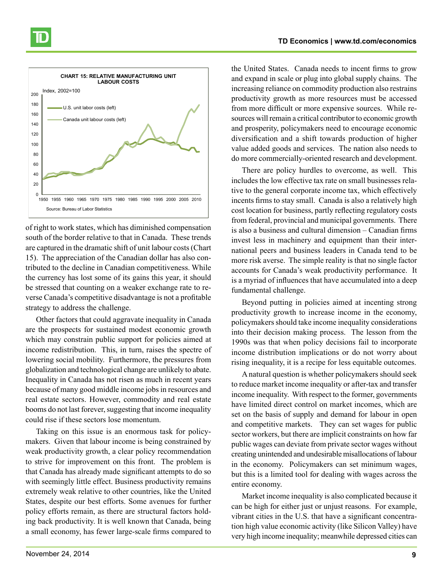



of right to work states, which has diminished compensation south of the border relative to that in Canada. These trends are captured in the dramatic shift of unit labour costs (Chart 15). The appreciation of the Canadian dollar has also contributed to the decline in Canadian competitiveness. While the currency has lost some of its gains this year, it should be stressed that counting on a weaker exchange rate to reverse Canada's competitive disadvantage is not a profitable strategy to address the challenge.

Other factors that could aggravate inequality in Canada are the prospects for sustained modest economic growth which may constrain public support for policies aimed at income redistribution. This, in turn, raises the spectre of lowering social mobility. Furthermore, the pressures from globalization and technological change are unlikely to abate. Inequality in Canada has not risen as much in recent years because of many good middle income jobs in resources and real estate sectors. However, commodity and real estate booms do not last forever, suggesting that income inequality could rise if these sectors lose momentum.

Taking on this issue is an enormous task for policymakers. Given that labour income is being constrained by weak productivity growth, a clear policy recommendation to strive for improvement on this front. The problem is that Canada has already made significant attempts to do so with seemingly little effect. Business productivity remains extremely weak relative to other countries, like the United States, despite our best efforts. Some avenues for further policy efforts remain, as there are structural factors holding back productivity. It is well known that Canada, being a small economy, has fewer large-scale firms compared to

the United States. Canada needs to incent firms to grow and expand in scale or plug into global supply chains. The increasing reliance on commodity production also restrains productivity growth as more resources must be accessed from more difficult or more expensive sources. While resources will remain a critical contributor to economic growth and prosperity, policymakers need to encourage economic diversification and a shift towards production of higher value added goods and services. The nation also needs to do more commercially-oriented research and development.

There are policy hurdles to overcome, as well. This includes the low effective tax rate on small businesses relative to the general corporate income tax, which effectively incents firms to stay small. Canada is also a relatively high cost location for business, partly reflecting regulatory costs from federal, provincial and municipal governments. There is also a business and cultural dimension – Canadian firms invest less in machinery and equipment than their international peers and business leaders in Canada tend to be more risk averse. The simple reality is that no single factor accounts for Canada's weak productivity performance. It is a myriad of influences that have accumulated into a deep fundamental challenge.

Beyond putting in policies aimed at incenting strong productivity growth to increase income in the economy, policymakers should take income inequality considerations into their decision making process. The lesson from the 1990s was that when policy decisions fail to incorporate income distribution implications or do not worry about rising inequality, it is a recipe for less equitable outcomes.

A natural question is whether policymakers should seek to reduce market income inequality or after-tax and transfer income inequality. With respect to the former, governments have limited direct control on market incomes, which are set on the basis of supply and demand for labour in open and competitive markets. They can set wages for public sector workers, but there are implicit constraints on how far public wages can deviate from private sector wages without creating unintended and undesirable misallocations of labour in the economy. Policymakers can set minimum wages, but this is a limited tool for dealing with wages across the entire economy.

Market income inequality is also complicated because it can be high for either just or unjust reasons. For example, vibrant cities in the U.S. that have a significant concentration high value economic activity (like Silicon Valley) have very high income inequality; meanwhile depressed cities can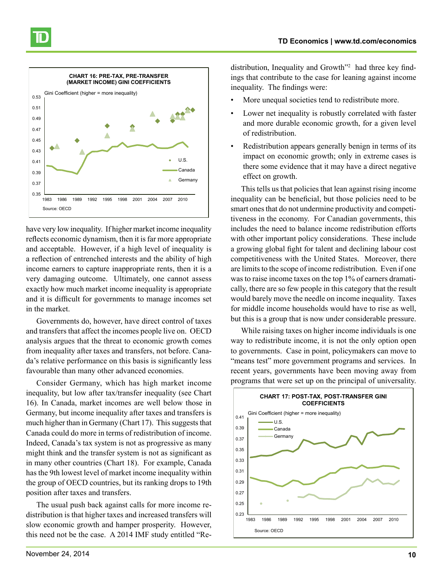

have very low inequality. If higher market income inequality reflects economic dynamism, then it is far more appropriate and acceptable. However, if a high level of inequality is a reflection of entrenched interests and the ability of high income earners to capture inappropriate rents, then it is a very damaging outcome. Ultimately, one cannot assess exactly how much market income inequality is appropriate and it is difficult for governments to manage incomes set in the market.

Governments do, however, have direct control of taxes and transfers that affect the incomes people live on. OECD analysis argues that the threat to economic growth comes from inequality after taxes and transfers, not before. Canada's relative performance on this basis is significantly less favourable than many other advanced economies.

Consider Germany, which has high market income inequality, but low after tax/transfer inequality (see Chart 16). In Canada, market incomes are well below those in Germany, but income inequality after taxes and transfers is much higher than in Germany (Chart 17). This suggests that Canada could do more in terms of redistribution of income. Indeed, Canada's tax system is not as progressive as many might think and the transfer system is not as significant as in many other countries (Chart 18). For example, Canada has the 9th lowest level of market income inequality within the group of OECD countries, but its ranking drops to 19th position after taxes and transfers.

The usual push back against calls for more income redistribution is that higher taxes and increased transfers will slow economic growth and hamper prosperity. However, this need not be the case. A 2014 IMF study entitled "Re-

distribution, Inequality and Growth<sup>72</sup> had three key findings that contribute to the case for leaning against income inequality. The findings were:

- More unequal societies tend to redistribute more.
- Lower net inequality is robustly correlated with faster and more durable economic growth, for a given level of redistribution.
- Redistribution appears generally benign in terms of its impact on economic growth; only in extreme cases is there some evidence that it may have a direct negative effect on growth.

This tells us that policies that lean against rising income inequality can be beneficial, but those policies need to be smart ones that do not undermine productivity and competitiveness in the economy. For Canadian governments, this includes the need to balance income redistribution efforts with other important policy considerations. These include a growing global fight for talent and declining labour cost competitiveness with the United States. Moreover, there are limits to the scope of income redistribution. Even if one was to raise income taxes on the top 1% of earners dramatically, there are so few people in this category that the result would barely move the needle on income inequality. Taxes for middle income households would have to rise as well, but this is a group that is now under considerable pressure.

While raising taxes on higher income individuals is one way to redistribute income, it is not the only option open to governments. Case in point, policymakers can move to "means test" more government programs and services. In recent years, governments have been moving away from programs that were set up on the principal of universality.

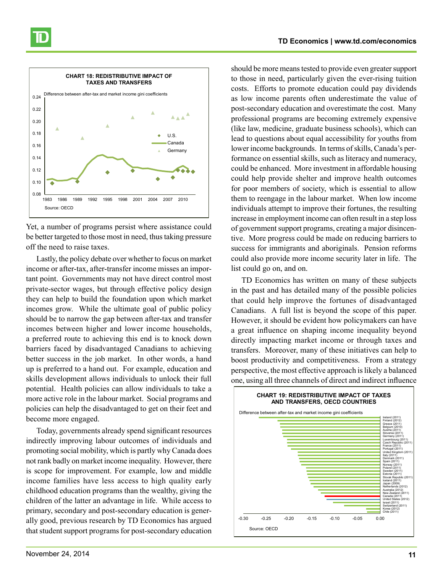



Yet, a number of programs persist where assistance could be better targeted to those most in need, thus taking pressure off the need to raise taxes.

Lastly, the policy debate over whether to focus on market income or after-tax, after-transfer income misses an important point. Governments may not have direct control most private-sector wages, but through effective policy design they can help to build the foundation upon which market incomes grow. While the ultimate goal of public policy should be to narrow the gap between after-tax and transfer incomes between higher and lower income households, a preferred route to achieving this end is to knock down barriers faced by disadvantaged Canadians to achieving better success in the job market. In other words, a hand up is preferred to a hand out. For example, education and skills development allows individuals to unlock their full potential. Health policies can allow individuals to take a more active role in the labour market. Social programs and policies can help the disadvantaged to get on their feet and become more engaged.

Today, governments already spend significant resources indirectly improving labour outcomes of individuals and promoting social mobility, which is partly why Canada does not rank badly on market income inequality. However, there is scope for improvement. For example, low and middle income families have less access to high quality early childhood education programs than the wealthy, giving the children of the latter an advantage in life. While access to primary, secondary and post-secondary education is generally good, previous research by TD Economics has argued that student support programs for post-secondary education

should be more means tested to provide even greater support to those in need, particularly given the ever-rising tuition costs. Efforts to promote education could pay dividends as low income parents often underestimate the value of post-secondary education and overestimate the cost. Many professional programs are becoming extremely expensive (like law, medicine, graduate business schools), which can lead to questions about equal accessibility for youths from lower income backgrounds. In terms of skills, Canada's performance on essential skills, such as literacy and numeracy, could be enhanced. More investment in affordable housing could help provide shelter and improve health outcomes for poor members of society, which is essential to allow them to reengage in the labour market. When low income individuals attempt to improve their fortunes, the resulting increase in employment income can often result in a step loss of government support programs, creating a major disincentive. More progress could be made on reducing barriers to success for immigrants and aboriginals. Pension reforms could also provide more income security later in life. The list could go on, and on.

TD Economics has written on many of these subjects in the past and has detailed many of the possible policies that could help improve the fortunes of disadvantaged Canadians. A full list is beyond the scope of this paper. However, it should be evident how policymakers can have a great influence on shaping income inequality beyond directly impacting market income or through taxes and transfers. Moreover, many of these initiatives can help to boost productivity and competitiveness. From a strategy perspective, the most effective approach is likely a balanced one, using all three channels of direct and indirect influence

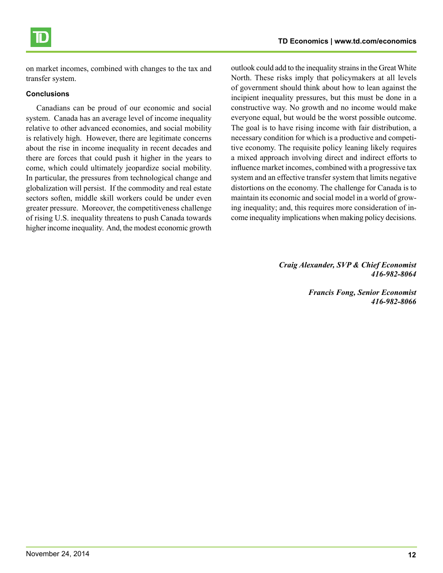

on market incomes, combined with changes to the tax and transfer system.

#### **Conclusions**

Canadians can be proud of our economic and social system. Canada has an average level of income inequality relative to other advanced economies, and social mobility is relatively high. However, there are legitimate concerns about the rise in income inequality in recent decades and there are forces that could push it higher in the years to come, which could ultimately jeopardize social mobility. In particular, the pressures from technological change and globalization will persist. If the commodity and real estate sectors soften, middle skill workers could be under even greater pressure. Moreover, the competitiveness challenge of rising U.S. inequality threatens to push Canada towards higher income inequality. And, the modest economic growth

outlook could add to the inequality strains in the Great White North. These risks imply that policymakers at all levels of government should think about how to lean against the incipient inequality pressures, but this must be done in a constructive way. No growth and no income would make everyone equal, but would be the worst possible outcome. The goal is to have rising income with fair distribution, a necessary condition for which is a productive and competitive economy. The requisite policy leaning likely requires a mixed approach involving direct and indirect efforts to influence market incomes, combined with a progressive tax system and an effective transfer system that limits negative distortions on the economy. The challenge for Canada is to maintain its economic and social model in a world of growing inequality; and, this requires more consideration of income inequality implications when making policy decisions.

> *Craig Alexander, SVP & Chief Economist 416-982-8064*

> > *Francis Fong, Senior Economist 416-982-8066*